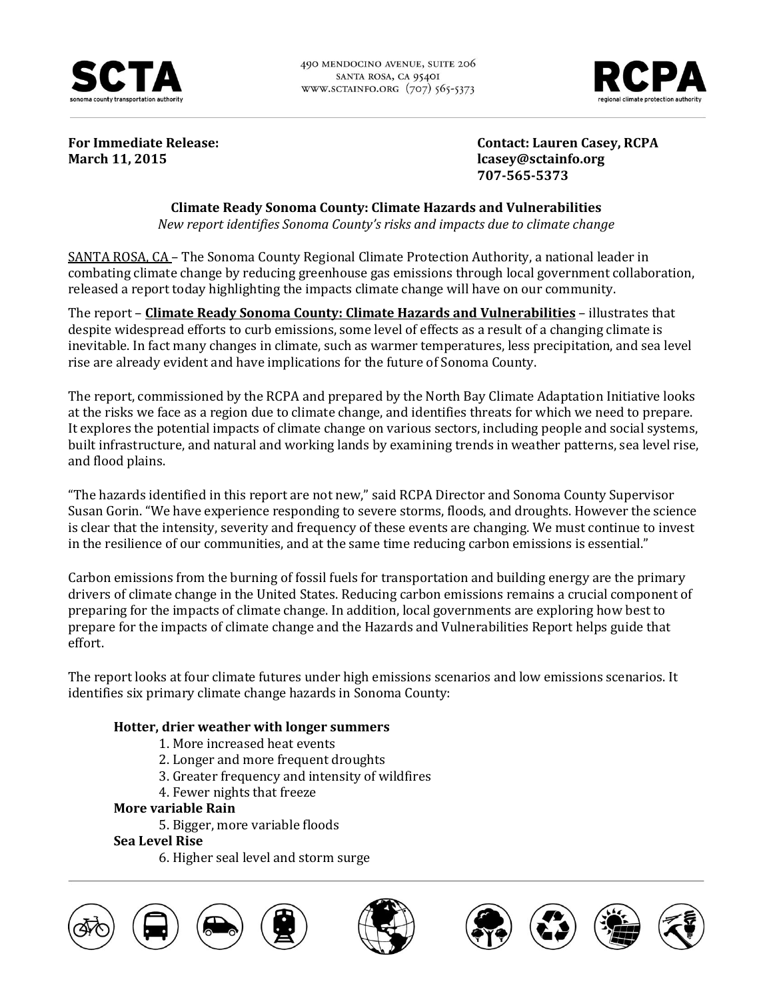

490 MENDOCINO AVENUE, SUITE 206 SANTA ROSA, CA 9540I WWW.SCTAINFO.ORG (707) 565-5373



**March 11, 2015 lcasey@sctainfo.org** 

**For Immediate Release: Contact: Lauren Casey, RCPA 707-565-5373**

# **Climate Ready Sonoma County: Climate Hazards and Vulnerabilities**

*New report identifies Sonoma County's risks and impacts due to climate change*

SANTA ROSA, CA – The Sonoma County Regional Climate Protection Authority, a national leader in combating climate change by reducing greenhouse gas emissions through local government collaboration, released a report today highlighting the impacts climate change will have on our community.

The report – **Climate Ready Sonoma County: Climate Hazards and Vulnerabilities** – illustrates that despite widespread efforts to curb emissions, some level of effects as a result of a changing climate is inevitable. In fact many changes in climate, such as warmer temperatures, less precipitation, and sea level rise are already evident and have implications for the future of Sonoma County.

The report, commissioned by the RCPA and prepared by the North Bay Climate Adaptation Initiative looks at the risks we face as a region due to climate change, and identifies threats for which we need to prepare. It explores the potential impacts of climate change on various sectors, including people and social systems, built infrastructure, and natural and working lands by examining trends in weather patterns, sea level rise, and flood plains.

"The hazards identified in this report are not new," said RCPA Director and Sonoma County Supervisor Susan Gorin. "We have experience responding to severe storms, floods, and droughts. However the science is clear that the intensity, severity and frequency of these events are changing. We must continue to invest in the resilience of our communities, and at the same time reducing carbon emissions is essential."

Carbon emissions from the burning of fossil fuels for transportation and building energy are the primary drivers of climate change in the United States. Reducing carbon emissions remains a crucial component of preparing for the impacts of climate change. In addition, local governments are exploring how best to prepare for the impacts of climate change and the Hazards and Vulnerabilities Report helps guide that effort.

The report looks at four climate futures under high emissions scenarios and low emissions scenarios. It identifies six primary climate change hazards in Sonoma County:

## **Hotter, drier weather with longer summers**

- 1. More increased heat events
- 2. Longer and more frequent droughts
- 3. Greater frequency and intensity of wildfires
- 4. Fewer nights that freeze

### **More variable Rain**

5. Bigger, more variable floods

### **Sea Level Rise**

6. Higher seal level and storm surge